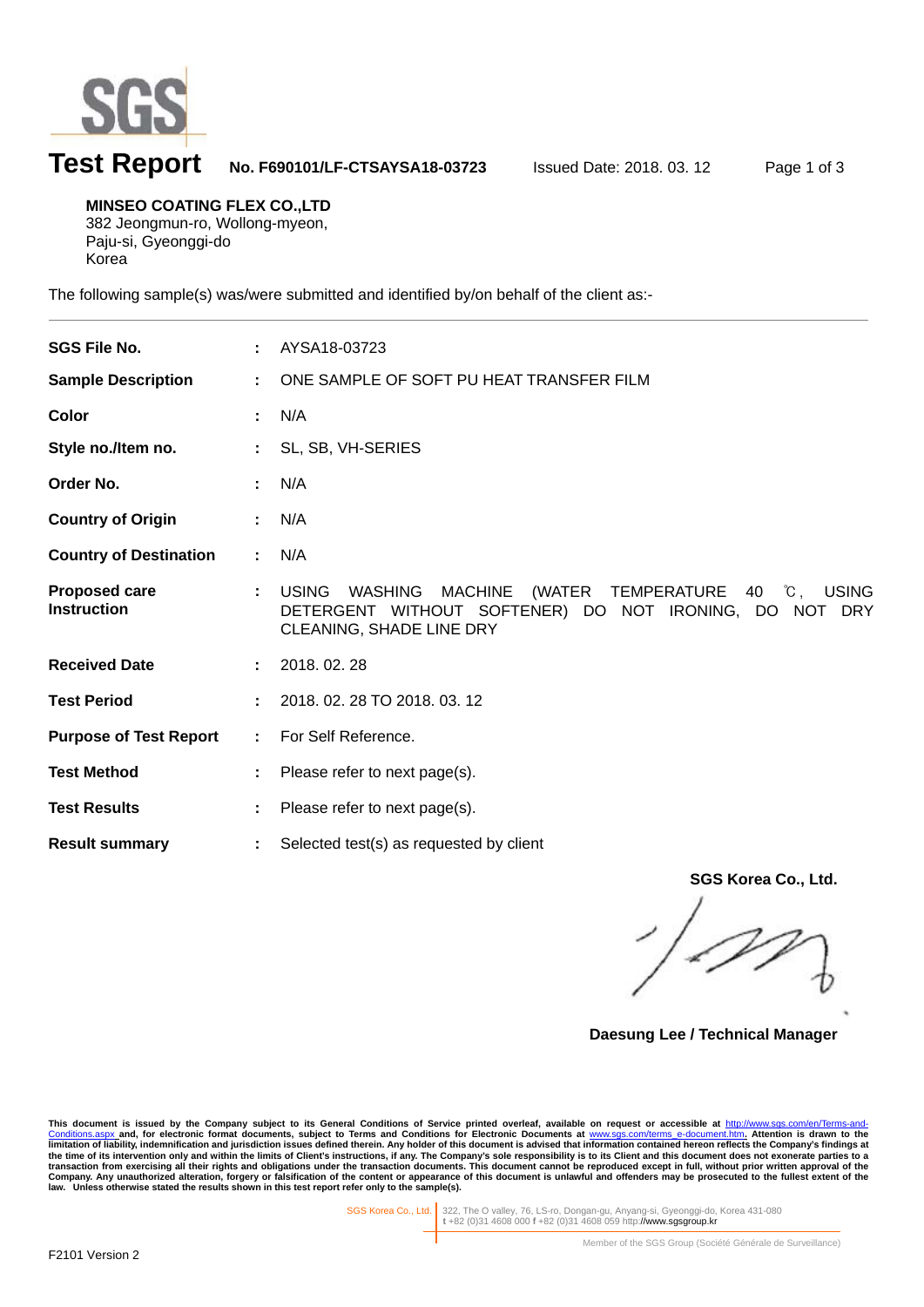

# **Test Report No. F690101/LF-CTSAYSA18-03723** Issued Date: 2018. 03. 12 Page 1 of 3

**MINSEO COATING FLEX CO.,LTD**  382 Jeongmun-ro, Wollong-myeon, Paju-si, Gyeonggi-do

Korea

l

The following sample(s) was/were submitted and identified by/on behalf of the client as:-

| <b>SGS File No.</b>                        |              | AYSA18-03723                                                                                                                                                              |
|--------------------------------------------|--------------|---------------------------------------------------------------------------------------------------------------------------------------------------------------------------|
| <b>Sample Description</b>                  | ÷.           | ONE SAMPLE OF SOFT PU HEAT TRANSFER FILM                                                                                                                                  |
| Color                                      |              | N/A                                                                                                                                                                       |
| Style no./Item no.                         |              | SL, SB, VH-SERIES                                                                                                                                                         |
| Order No.                                  |              | N/A                                                                                                                                                                       |
| <b>Country of Origin</b>                   |              | N/A                                                                                                                                                                       |
| <b>Country of Destination</b>              | $\mathbf{L}$ | N/A                                                                                                                                                                       |
| <b>Proposed care</b><br><b>Instruction</b> |              | <b>USING</b><br>(WATER TEMPERATURE 40 °C, USING<br><b>WASHING</b><br><b>MACHINE</b><br>DETERGENT WITHOUT SOFTENER) DO NOT IRONING, DO NOT DRY<br>CLEANING, SHADE LINE DRY |
| <b>Received Date</b>                       |              | 2018.02.28                                                                                                                                                                |
| <b>Test Period</b>                         |              | 2018. 02. 28 TO 2018. 03. 12                                                                                                                                              |
| <b>Purpose of Test Report</b>              | ÷.           | For Self Reference.                                                                                                                                                       |
| <b>Test Method</b>                         | ÷.           | Please refer to next page(s).                                                                                                                                             |
| <b>Test Results</b>                        |              | Please refer to next page(s).                                                                                                                                             |
| <b>Result summary</b>                      | ÷            | Selected test(s) as requested by client                                                                                                                                   |

**SGS Korea Co., Ltd.** 

**Daesung Lee / Technical Manager** 

This document is issued by the Company subject to its General Conditions of Service printed overleaf, available on request or accessible at <u>http://www.sgs.com/en/Terms-and-</u><br><u>Conditions.aspx a</u>nd, for electronic format do limitation of liability, indemnification and jurisdiction issues defined therein. Any holder of this document is advised that information contained hereon reflects the Company's findings at<br>the time of its intervention onl

SGS Korea Co., Ltd. 322, The O valley, 76, LS-ro, Dongan-gu, Anyang-si, Gyeonggi-do, Korea 431-080 **t** +82 (0)31 4608 000 **f** +82 (0)31 4608 059 http://www.sgsgroup.kr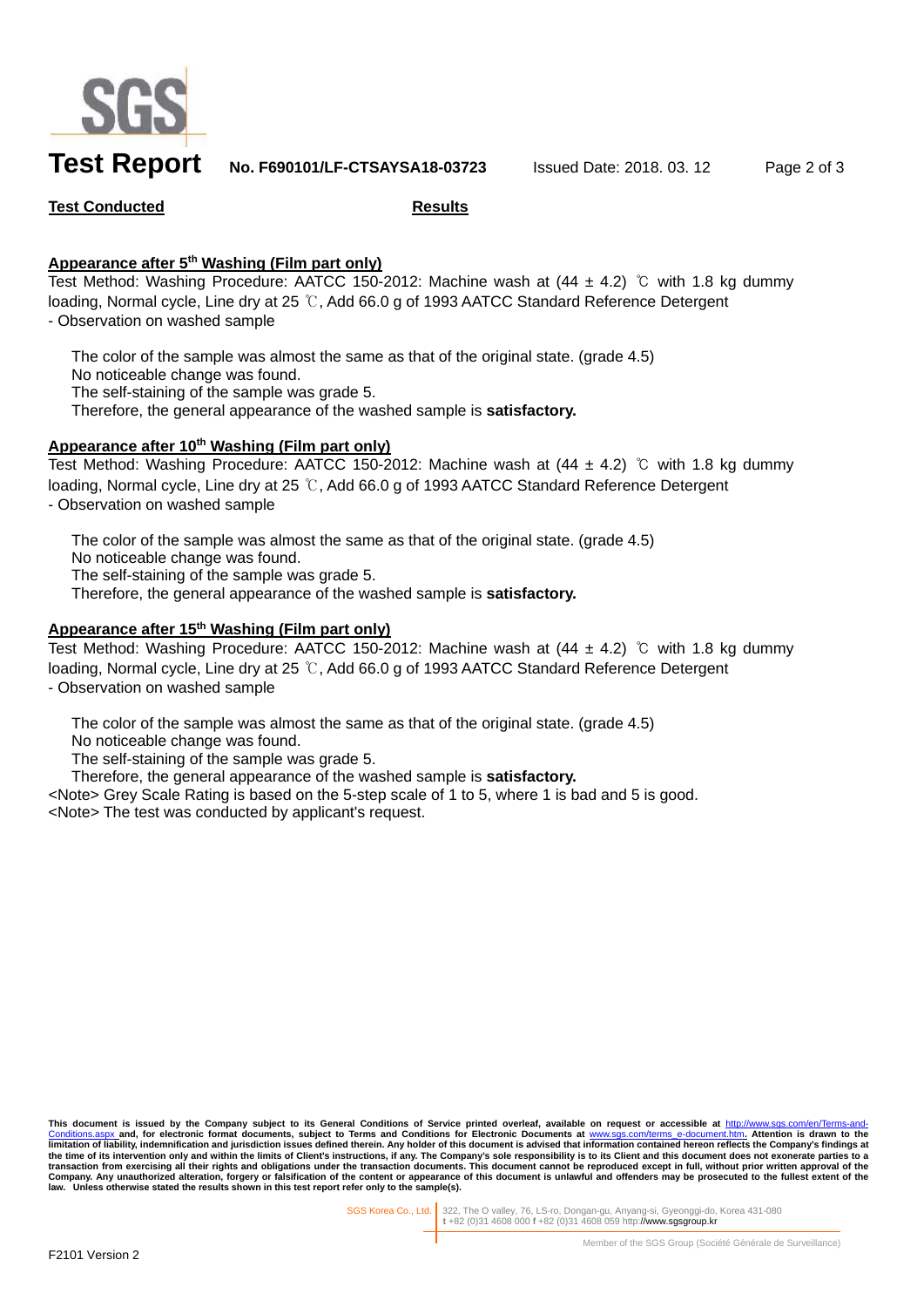

## **Test Report No. F690101/LF-CTSAYSA18-03723** Issued Date: 2018. 03. 12 Page 2 of 3

### **Test Conducted Results**

### **Appearance after 5th Washing (Film part only)**

Test Method: Washing Procedure: AATCC 150-2012: Machine wash at  $(44 \pm 4.2)$  °C with 1.8 kg dummy loading, Normal cycle, Line dry at 25 ℃, Add 66.0 g of 1993 AATCC Standard Reference Detergent - Observation on washed sample

 The color of the sample was almost the same as that of the original state. (grade 4.5) No noticeable change was found. The self-staining of the sample was grade 5. Therefore, the general appearance of the washed sample is **satisfactory.**

### **Appearance after 10th Washing (Film part only)**

Test Method: Washing Procedure: AATCC 150-2012: Machine wash at  $(44 \pm 4.2)$  °C with 1.8 kg dummy loading, Normal cycle, Line dry at 25 ℃, Add 66.0 g of 1993 AATCC Standard Reference Detergent - Observation on washed sample

 The color of the sample was almost the same as that of the original state. (grade 4.5) No noticeable change was found. The self-staining of the sample was grade 5. Therefore, the general appearance of the washed sample is **satisfactory.**

### **Appearance after 15th Washing (Film part only)**

Test Method: Washing Procedure: AATCC 150-2012: Machine wash at (44 ± 4.2) ℃ with 1.8 kg dummy loading, Normal cycle, Line dry at 25 ℃, Add 66.0 g of 1993 AATCC Standard Reference Detergent - Observation on washed sample

The color of the sample was almost the same as that of the original state. (grade 4.5)

No noticeable change was found.

The self-staining of the sample was grade 5.

Therefore, the general appearance of the washed sample is **satisfactory.**

<Note> Grey Scale Rating is based on the 5-step scale of 1 to 5, where 1 is bad and 5 is good. <Note> The test was conducted by applicant's request.

This document is issued by the Company subject to its General Conditions of Service printed overleaf, available on request or accessible at <u>http://www.sgs.com/en/Terms-and-</u><br><u>Conditions.aspx a</u>nd, for electronic format do limitation of liability, indemnification and jurisdiction issues defined therein. Any holder of this document is advised that information contained hereon reflects the Company's findings at<br>the time of its intervention onl **law. Unless otherwise stated the results shown in this test report refer only to the sample(s).** 

SGS Korea Co., Ltd. 322, The O valley, 76, LS-ro, Dongan-gu, Anyang-si, Gyeonggi-do, Korea 431-080 **t** +82 (0)31 4608 000 **f** +82 (0)31 4608 059 http://www.sgsgroup.kr